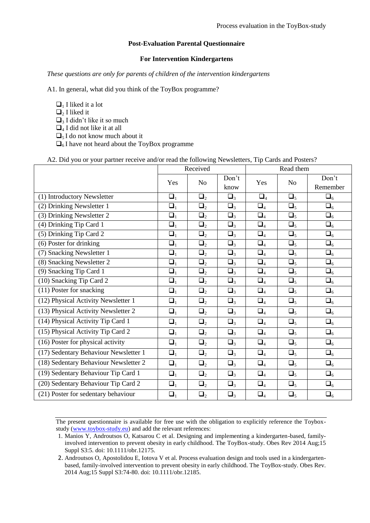## **Post-Evaluation Parental Questionnaire**

## **For Intervention Kindergartens**

*These questions are only for parents of children of the intervention kindergartens* 

A1. In general, what did you think of the ToyBox programme?

- $\Box$ <sub>1</sub> I liked it a lot
- $\Box$ <sub>2</sub> I liked it
- $\Box$ <sub>3</sub> I didn't like it so much
- $\Box_4$  I did not like it at all
- $\Box$ <sub>5</sub> I do not know much about it
- $\Box$ <sub>6</sub> I have not heard about the ToyBox programme

## A2. Did you or your partner receive and/or read the following Newsletters, Tip Cards and Posters?

|                                       | Received |                |          | Read them |                |             |
|---------------------------------------|----------|----------------|----------|-----------|----------------|-------------|
|                                       | Yes      | N <sub>o</sub> | Don't    | Yes       | N <sub>0</sub> | Don't       |
|                                       |          |                | know     |           |                | Remember    |
| (1) Introductory Newsletter           | $\Box_1$ | $\Box_2$       | $\Box_3$ | $\Box_4$  | $\Box_5$       | $\Box_6$    |
| (2) Drinking Newsletter 1             | $\Box_1$ | $\Box_2$       | $\Box_3$ | $\Box_4$  | $\Box_5$       | $\square_6$ |
| (3) Drinking Newsletter 2             | $\Box_1$ | $\Box_2$       | $\Box_3$ | $\Box_4$  | $\Box_5$       | $\Box_6$    |
| (4) Drinking Tip Card 1               | $\Box_1$ | $\Box_2$       | $\Box_3$ | $\Box_4$  | $\Box_5$       | $\Box_6$    |
| (5) Drinking Tip Card 2               | $\Box_1$ | $\Box_2$       | $\Box_3$ | $\Box_4$  | $\Box_5$       | $\Box_6$    |
| $\overline{(6)}$ Poster for drinking  | $\Box_1$ | $\Box_2$       | $\Box_3$ | $\Box_4$  | $\Box_5$       | $\square_6$ |
| (7) Snacking Newsletter 1             | $\Box_1$ | $\Box_2$       | $\Box_3$ | $\Box_4$  | $\Box_5$       | $\Box_6$    |
| (8) Snacking Newsletter 2             | $\Box_1$ | $\Box_2$       | $\Box_3$ | $\Box_4$  | $\Box_5$       | $\square_6$ |
| (9) Snacking Tip Card 1               | $\Box_1$ | $\Box_2$       | $\Box_3$ | $\Box_4$  | $\Box_5$       | $\square_6$ |
| (10) Snacking Tip Card 2              | $\Box_1$ | $\Box_2$       | $\Box_3$ | $\Box_4$  | $\Box_5$       | $\Box_6$    |
| (11) Poster for snacking              | $\Box_1$ | $\Box_2$       | $\Box_3$ | $\Box_4$  | $\Box_5$       | $\Box_6$    |
| (12) Physical Activity Newsletter 1   | $\Box_1$ | $\Box_2$       | $\Box_3$ | $\Box_4$  | $\Box_5$       | $\square_6$ |
| (13) Physical Activity Newsletter 2   | $\Box_1$ | $\Box_2$       | $\Box_3$ | $\Box_4$  | $\Box_5$       | $\Box_6$    |
| (14) Physical Activity Tip Card 1     | $\Box_1$ | $\Box_2$       | $\Box_3$ | $\Box_4$  | $\Box_5$       | $\square_6$ |
| (15) Physical Activity Tip Card 2     | $\Box_1$ | $\Box_2$       | $\Box_3$ | $\Box_4$  | $\Box_5$       | $\Box_6$    |
| (16) Poster for physical activity     | $\Box_1$ | $\Box_2$       | $\Box_3$ | $\Box_4$  | $\Box_5$       | $\Box_6$    |
| (17) Sedentary Behaviour Newsletter 1 | $\Box_1$ | $\Box_2$       | $\Box_3$ | $\Box_4$  | $\Box_5$       | $\Box_6$    |
| (18) Sedentary Behaviour Newsletter 2 | $\Box_1$ | $\Box_2$       | $\Box_3$ | $\Box_4$  | $\Box_5$       | $\Box_6$    |
| (19) Sedentary Behaviour Tip Card 1   | $\Box_1$ | $\Box_2$       | $\Box_3$ | $\Box_4$  | $\Box_5$       | $\Box_6$    |
| (20) Sedentary Behaviour Tip Card 2   | $\Box_1$ | $\Box_2$       | $\Box_3$ | $\Box_4$  | $\Box_5$       | $\Box_6$    |
| (21) Poster for sedentary behaviour   | $\Box_1$ | $\Box_2$       | $\Box_3$ | $\Box_4$  | $\Box_5$       | $\Box_6$    |

The present questionnaire is available for free use with the obligation to explicitly reference the Toyboxstudy (www.toybox-study.eu) and add the relevant references:

<sup>1.</sup> Manios Y, Androutsos O, Katsarou C et al. Designing and implementing a kindergarten-based, familyinvolved intervention to prevent obesity in early childhood. The ToyBox-study. Obes Rev 2014 Aug;15 Suppl S3:5. doi: 10.1111/obr.12175.

<sup>2.</sup> Androutsos O, Apostolidou E, Iotova V et al. Process evaluation design and tools used in a kindergartenbased, family-involved intervention to prevent obesity in early childhood. The ToyBox-study. Obes Rev. 2014 Aug;15 Suppl S3:74-80. doi: 10.1111/obr.12185.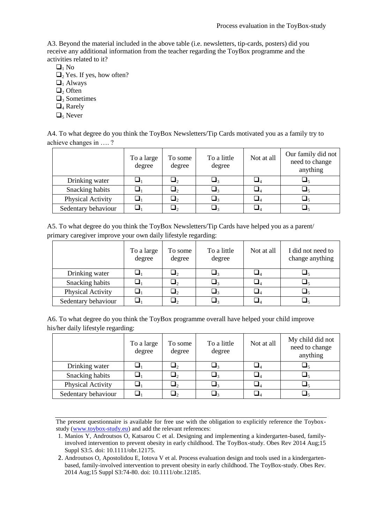A3. Beyond the material included in the above table (i.e. newsletters, tip-cards, posters) did you receive any additional information from the teacher regarding the ToyBox programme and the activities related to it?

- $\Box_1$  No
- $\Box$ <sub>2</sub> Yes. If yes, how often?
- $\Box_1$  Always
- $\Box$ <sub>2</sub> Often
- $\Box$ <sub>3</sub> Sometimes
- $\Box$ <sub>4</sub> Rarely
- $\Box$ <sub>5</sub> Never

A4. To what degree do you think the ToyBox Newsletters/Tip Cards motivated you as a family try to achieve changes in …. ?

|                     | To a large<br>degree | To some<br>degree | To a little<br>degree | Not at all | Our family did not<br>need to change<br>anything |
|---------------------|----------------------|-------------------|-----------------------|------------|--------------------------------------------------|
| Drinking water      |                      | ┛                 |                       |            |                                                  |
| Snacking habits     |                      | ┙                 |                       |            |                                                  |
| Physical Activity   |                      | $\mathbf{I}_2$    | ┙                     |            |                                                  |
| Sedentary behaviour |                      |                   |                       |            |                                                  |

| A5. To what degree do you think the ToyBox Newsletters/Tip Cards have helped you as a parent/ |  |
|-----------------------------------------------------------------------------------------------|--|
| primary caregiver improve your own daily lifestyle regarding:                                 |  |

|                     | To a large<br>degree | To some<br>degree | To a little<br>degree | Not at all | I did not need to<br>change anything |
|---------------------|----------------------|-------------------|-----------------------|------------|--------------------------------------|
| Drinking water      |                      | ┙                 |                       |            |                                      |
| Snacking habits     |                      | $\mathbf{L}_2$    |                       |            |                                      |
| Physical Activity   |                      | ┛2                |                       |            |                                      |
| Sedentary behaviour |                      |                   |                       |            |                                      |

A6. To what degree do you think the ToyBox programme overall have helped your child improve his/her daily lifestyle regarding:

|                     | To a large<br>degree | To some<br>degree | To a little<br>degree | Not at all | My child did not<br>need to change<br>anything |
|---------------------|----------------------|-------------------|-----------------------|------------|------------------------------------------------|
| Drinking water      |                      |                   |                       |            |                                                |
| Snacking habits     |                      | $\mathbf{L}_2$    |                       |            |                                                |
| Physical Activity   |                      |                   |                       |            |                                                |
| Sedentary behaviour |                      |                   |                       |            |                                                |

The present questionnaire is available for free use with the obligation to explicitly reference the Toyboxstudy (www.toybox-study.eu) and add the relevant references:

<sup>1.</sup> Manios Y, Androutsos O, Katsarou C et al. Designing and implementing a kindergarten-based, familyinvolved intervention to prevent obesity in early childhood. The ToyBox-study. Obes Rev 2014 Aug;15 Suppl S3:5. doi: 10.1111/obr.12175.

<sup>2.</sup> Androutsos O, Apostolidou E, Iotova V et al. Process evaluation design and tools used in a kindergartenbased, family-involved intervention to prevent obesity in early childhood. The ToyBox-study. Obes Rev. 2014 Aug;15 Suppl S3:74-80. doi: 10.1111/obr.12185.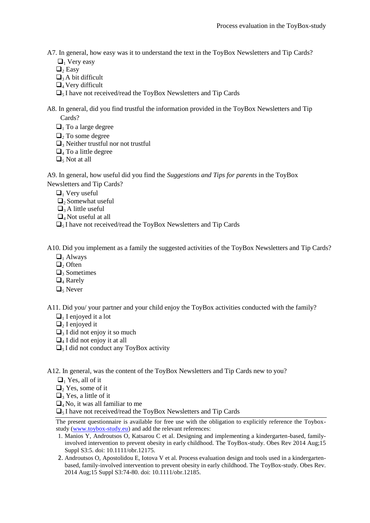- A7. In general, how easy was it to understand the text in the ToyBox Newsletters and Tip Cards?
	- $\Box$ <sub>1</sub> Very easy
	- $\Box$ <sub>2</sub> Easy
	- $\Box$ <sub>3</sub> A bit difficult
	- $\Box$ <sub>4</sub> Very difficult
	- $\Box$ <sub>5</sub> I have not received/read the ToyBox Newsletters and Tip Cards
- A8. In general, did you find trustful the information provided in the ToyBox Newsletters and Tip Cards?
	- $\Box$ <sub>1</sub> To a large degree
	- $\Box$ <sub>2</sub> To some degree
	- $\Box$ <sub>3</sub> Neither trustful nor not trustful
	- $\Box$ <sub>4</sub> To a little degree
	- $\Box$ <sub>5</sub> Not at all

A9. In general, how useful did you find the *Suggestions and Tips for parents* in the ToyBox Newsletters and Tip Cards?

- $\Box$ <sub>1</sub> Very useful
- $\Box$ <sub>2</sub> Somewhat useful
- $\Box$ <sub>3</sub> A little useful
- $\Box$ <sub>4</sub> Not useful at all
- $\Box$ <sub>5</sub> I have not received/read the ToyBox Newsletters and Tip Cards

A10. Did you implement as a family the suggested activities of the ToyBox Newsletters and Tip Cards?

- $\Box_1$  Always
- $\Box$ , Often
- $\Box$ <sub>3</sub> Sometimes
- $\Box$ <sub>4</sub> Rarely
- $\Box$ <sub>5</sub> Never

A11. Did you/ your partner and your child enjoy the ToyBox activities conducted with the family?

- $\Box$  I enjoyed it a lot
- $\Box$ <sub>2</sub> I enjoyed it
- $\Box$ <sub>3</sub> I did not enjoy it so much
- $\Box$ <sub>4</sub> I did not enjoy it at all
- $\Box$ <sub>5</sub> I did not conduct any ToyBox activity

A12. In general, was the content of the ToyBox Newsletters and Tip Cards new to you?

 $\Box$ <sub>1</sub> Yes, all of it

 $\Box$ <sub>2</sub> Yes, some of it

- $\Box$ <sub>3</sub> Yes, a little of it
- $\Box_4$  No, it was all familiar to me

 $\Box$ <sub>5</sub> I have not received/read the ToyBox Newsletters and Tip Cards

- 1. Manios Y, Androutsos O, Katsarou C et al. Designing and implementing a kindergarten-based, familyinvolved intervention to prevent obesity in early childhood. The ToyBox-study. Obes Rev 2014 Aug;15 Suppl S3:5. doi: 10.1111/obr.12175.
- 2. Androutsos O, Apostolidou E, Iotova V et al. Process evaluation design and tools used in a kindergartenbased, family-involved intervention to prevent obesity in early childhood. The ToyBox-study. Obes Rev. 2014 Aug;15 Suppl S3:74-80. doi: 10.1111/obr.12185.

The present questionnaire is available for free use with the obligation to explicitly reference the Toyboxstudy (www.toybox-study.eu) and add the relevant references: